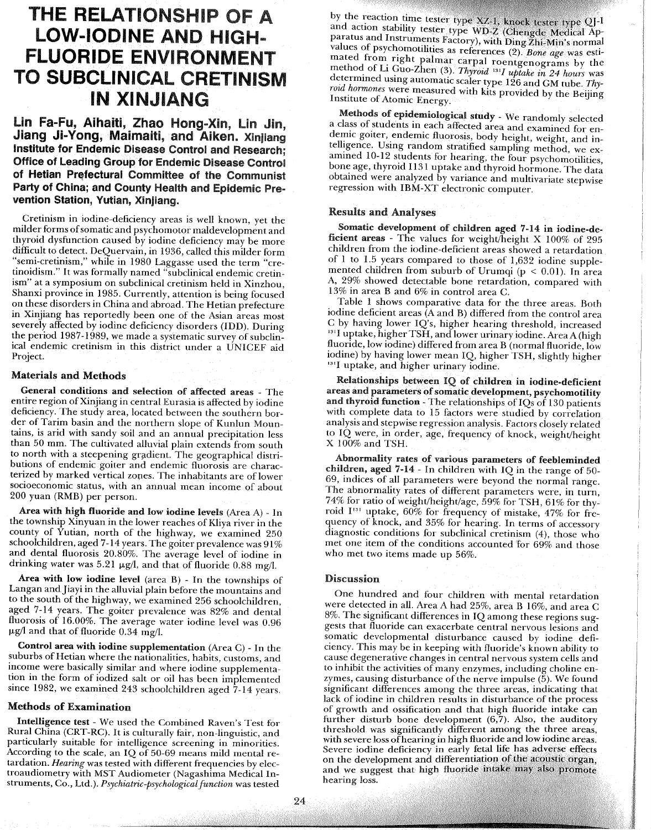# THE RELATIONSHIP OF A LOW-IODINE AND HIGH-FLUORIDE ENVIRONMENT TO SUBCLINICAL CRETINISM lN XINJIANG

Lin Fa-Fu, Aihaiti, Zhao Hong-Xin, Lin Jin. Jiang Ji-Yong, Maimaiti, and Aiken. Xinjiang Institute for Endemie Disease Control and Researeh; **Office of Leading Group for Endemic Disease Control** of Hetian Prefectural Committee of the Communist Party of China; and County Health and Epidemic Prevention Station, Yutian, Xinjiang.

Cretinism in iodine-deficiency areas is weil known, yet the milder forms of somatic and psychomotor maldevelopment and thyroid dysfunction caused by iodine deficiency may be more difficult to detect. DeQuervain, in 1936, called this milder form "semi-cretinism," while in 1980 Laggasse used the term "cretinoidism." It was formally named "subclinical endemic cretinism" at a symposium on subclinical cretinism held in Xinzhou, Shanxi province in 1985. Currently, attention is being focused on these disorders in China and abroad. The Hetian prefecture in Xinjiang has reportedly been one of the Asian areas most severely affected by iodine deficiency disorders (IDD). During the period 1987-1989, we made a systematic survey of subclinical endemic cretinism in this district under a UNICEF aid Project.

#### Materials and Methods

General conditions and selection of affected areas - The entire region of Xinjiang in central Eurasia is affected by iodine deficiency. The study area, located between the southern border of Tarim basin and the northern slope of Kunlun Mountains, is arid with sandy soil and an annual precipitation less than 50 mm. The cultivated alluvial plain extends from south to north with a steepening gradient. The geographical distributions of endemic goiter and endemic fluorosis are characterized by marked vertical zopes. The inhabitants are of lower socioeconomic status, with an annual mean income of about 200 yuan (RMB) per person.

Area with high fluoride and low iodine levels (Area A) - ln the township Xinyuan in the lower reaches of Kliya river in the county of Yutian, north of the highway, we examined 250 schoolchildren, aged 7-14 years. The goiter prevalence was  $91\%$ and dental fluorosis 20.80%. The average level of iodine in drinking water was 5.21  $\mu$ g/l, and that of fluoride 0.88 mg/l.

Area with low iodine level (area B) - ln the townships of Langan and Jiayi in the alluvial plain before the mountains and to the south of the highway, we examined 256 schoolchildren, aged 7-14 years. The goiter prevalence was 82% and dental fluorosis of 16.00%. The average water iodine level was 0.96  $\mu$ g/l and that of fluoride 0.34 mg/l.

Control area with iodine supplementation (Area C) - ln the suburbs of Hetian where the nationalities, habits, customs, and income were basically similar and where iodine supplementation in the form of iodized salt or oil has been implemented since 1982, we examined 243 schoolchildren aged 7-14 years.

#### Methods of Examination

Intelligence test - We used the Combined Raven's Test for Rural China (CRT-RC). It is culturally fair, non-linguistic, and particularly suitable for intelligence screening in minorities. According to the scale, an IQ of 50-69 means mild mental retardation. *Hearing* was tested with different frequencies by electroaudiometry with MST Audiometer (Nagashima Medical Instruments, Co., Ltd.). *Psychiatric-psychological function* was tested

by the reaction time tester type XZ-1, knock tester type QJ-1 and action stability tester type WD-Z (Chengde Medical Apparatus and Instruments Factory), with Ding Zhi-Min's normal values of psychomotilities as references (2). *Bone age was* estimated from right palmar carpal roentgenograms by the method of Li Guo-Zhen (3). *Thyroid* <sup>131</sup>*I* uptake in 24 hours was determmed usmgautomatic scaler type 126 and CM tube. *Thyroid hormones* were measured with kits provided by the Beijing Institute of Atomic Energy.

Methods of epidemiological study - We randomly selected a class of students m each affected area and examined for endemic goiter, endemic fluorosis, body height, weight, and intelligence. Using random stratified sampling method, we examined 10-12 students for hearing, the four psychomotilities, bone age, thyroid I131 uptake and thyroid hormone. The data obtained were analyzed by variance and multivariate stepwise regression with IBM-XT electronic computer.

#### Resuhs and Analyses

Somatic development of children aged 7-14 in iodine-deficient areas - The values for weight/height X 100% of 295 children from the iodine-deficient areas showed a retardation of 1 to 1.5 years compared to those of 1,632 iodine supplemented children from suburb of Urumqi ( $p < 0.01$ ). In area A, 29% showed detectable bone retardation, compared with 13% in area Band 6% in control area C.

Table 1 shows comparative data for the three areas. Bath iodine deficient areas (A and B) differed from the control area C by having lower IQ's, higher hearing threshold, increased <sup>131</sup>I uptake, higher TSH, and lower urinary iodine. Area A (high fluoride, low iodine) differed from area B (normal fluoride, low iodine) by having lower mean lQ, higher TSH, slightly higher <sup>131</sup>I uptake, and higher urinary iodine.

Relationships between IQ of children in iodine-deficient areas and parameters of somatic development, psychomotility and thyroid function - The relationships of IQs of 130 patients with complete data to 15 factors were studied by correlation analysis and stepwise regression analysis. Factors closely related ta IQ were, in order, age, frequency of knock, weight/height X 100% and TSH.

Abnormality rates of varions parameters of feebleminded children, aged 7-14 - ln children with IQ in the range of 50- 69, indices of ail parameters were beyond the normal range. The abnormality rates of different parameters were, in turn, 74% for ratio of weight/height/age, 59% for TSH, 61% for thyroid I<sup>131</sup> uptake, 60% for frequency of mistake, 47% for frequency of knock, and 35% for hearing. ln terms of accessory diagnostic conditions for subclinical cretinism (4), those who met one item of the conditions accounted for 69% and those who met two items made up 56%.

#### Discussion

One hundred and four children with mental retardation were detected in all. Area A had 25%, area B 16%, and area C 8%. The significant differences in IQ among these regions suggests that fluoride can exacerbate central nervous lesions and somatic developmental disturbance caused by iodine deficiency. This may be in keeping with fluoride's known ability ta cause degenerative changes in central nervous system cells and to inhibit the activities of many enzymes, including choline enzymes, causing disturbance of the nerve impulse  $(5)$ . We found significant differences among the three areas, indicating that lack of iodine in children results in disturbance of the process of growth and ossification and that high fluoride intake can further disturb bone development (6,7). Also, the auditory threshold was significantly different among the three areas, with severe loss ofhearing in high fluoride and Iow iodine areas. Severe iodine deficiency in early fetal life has adverse effects on the development and differentiation of the acoustic organ. and we suggest that high fluoride intake may also promote hearing loss.